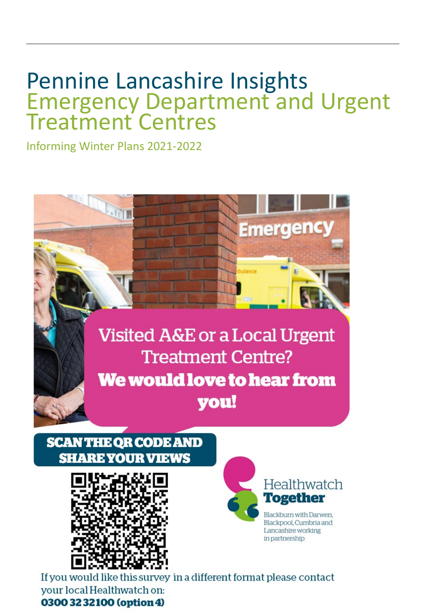## Pennine Lancashire Insights Emergency Department and Urgent Treatment Centres

Informing Winter Plans 2021-2022



## **SCAN THE QR CODE AND SHARE YOUR VIEWS**





If you would like this survey in a different format please contact your local Healthwatch on: 0300 32 32100 (option 4)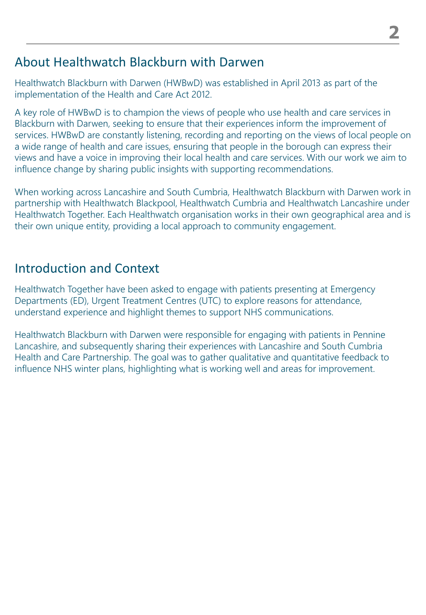### About Healthwatch Blackburn with Darwen

Healthwatch Blackburn with Darwen (HWBwD) was established in April 2013 as part of the implementation of the Health and Care Act 2012.

A key role of HWBwD is to champion the views of people who use health and care services in Blackburn with Darwen, seeking to ensure that their experiences inform the improvement of services. HWBwD are constantly listening, recording and reporting on the views of local people on a wide range of health and care issues, ensuring that people in the borough can express their views and have a voice in improving their local health and care services. With our work we aim to influence change by sharing public insights with supporting recommendations.

When working across Lancashire and South Cumbria, Healthwatch Blackburn with Darwen work in partnership with Healthwatch Blackpool, Healthwatch Cumbria and Healthwatch Lancashire under Healthwatch Together. Each Healthwatch organisation works in their own geographical area and is their own unique entity, providing a local approach to community engagement.

## Introduction and Context

Healthwatch Together have been asked to engage with patients presenting at Emergency Departments (ED), Urgent Treatment Centres (UTC) to explore reasons for attendance, understand experience and highlight themes to support NHS communications.

Healthwatch Blackburn with Darwen were responsible for engaging with patients in Pennine Lancashire, and subsequently sharing their experiences with Lancashire and South Cumbria Health and Care Partnership. The goal was to gather qualitative and quantitative feedback to influence NHS winter plans, highlighting what is working well and areas for improvement.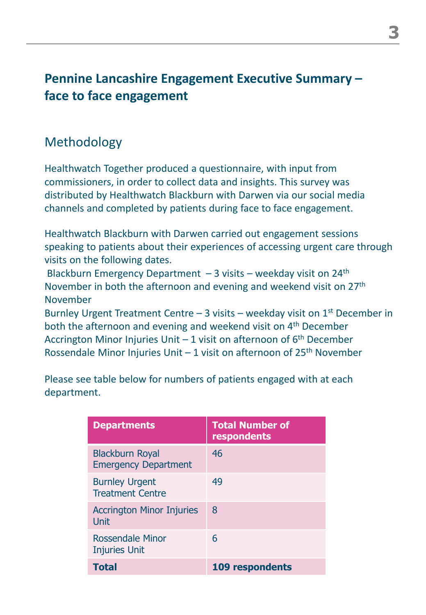## **Pennine Lancashire Engagement Executive Summary – face to face engagement**

## Methodology

Healthwatch Together produced a questionnaire, with input from commissioners, in order to collect data and insights. This survey was distributed by Healthwatch Blackburn with Darwen via our social media channels and completed by patients during face to face engagement.

Healthwatch Blackburn with Darwen carried out engagement sessions speaking to patients about their experiences of accessing urgent care through visits on the following dates.

Blackburn Emergency Department  $-3$  visits – weekday visit on 24<sup>th</sup> November in both the afternoon and evening and weekend visit on 27<sup>th</sup> November

Burnley Urgent Treatment Centre – 3 visits – weekday visit on  $1<sup>st</sup>$  December in both the afternoon and evening and weekend visit on 4<sup>th</sup> December Accrington Minor Injuries Unit  $-1$  visit on afternoon of  $6<sup>th</sup>$  December Rossendale Minor Injuries Unit  $-1$  visit on afternoon of 25<sup>th</sup> November

Please see table below for numbers of patients engaged with at each department.

| <b>Departments</b>                                    | <b>Total Number of</b><br>respondents |
|-------------------------------------------------------|---------------------------------------|
| <b>Blackburn Royal</b><br><b>Emergency Department</b> | 46                                    |
| <b>Burnley Urgent</b><br><b>Treatment Centre</b>      | 49                                    |
| <b>Accrington Minor Injuries</b><br>Unit              | 8                                     |
| <b>Rossendale Minor</b><br><b>Injuries Unit</b>       | 6                                     |
| <b>Total</b>                                          | 109 respondents                       |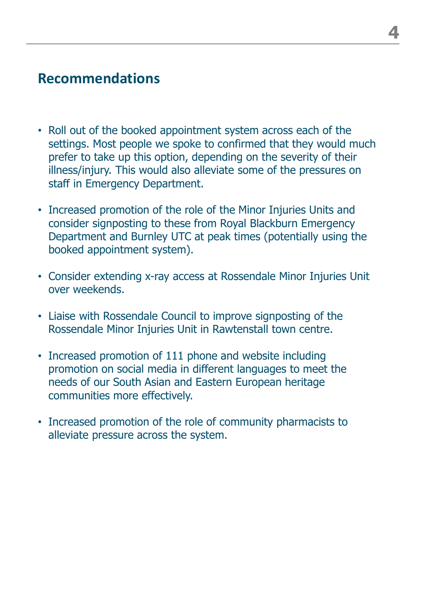## **Recommendations**

- Roll out of the booked appointment system across each of the settings. Most people we spoke to confirmed that they would much prefer to take up this option, depending on the severity of their illness/injury. This would also alleviate some of the pressures on staff in Emergency Department.
- Increased promotion of the role of the Minor Injuries Units and consider signposting to these from Royal Blackburn Emergency Department and Burnley UTC at peak times (potentially using the booked appointment system).
- Consider extending x-ray access at Rossendale Minor Injuries Unit over weekends.
- Liaise with Rossendale Council to improve signposting of the Rossendale Minor Injuries Unit in Rawtenstall town centre.
- Increased promotion of 111 phone and website including promotion on social media in different languages to meet the needs of our South Asian and Eastern European heritage communities more effectively.
- Increased promotion of the role of community pharmacists to alleviate pressure across the system.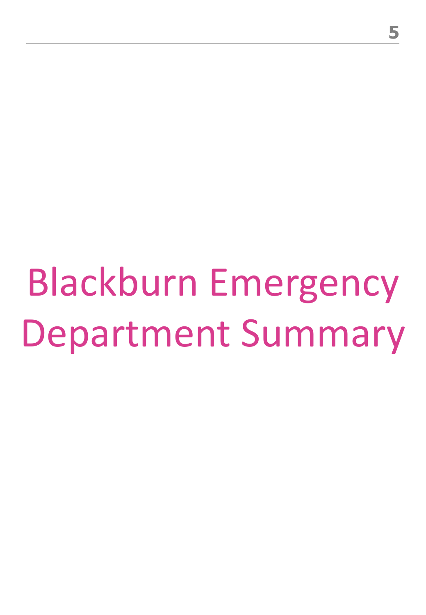Blackburn Emergency Department Summary

**5**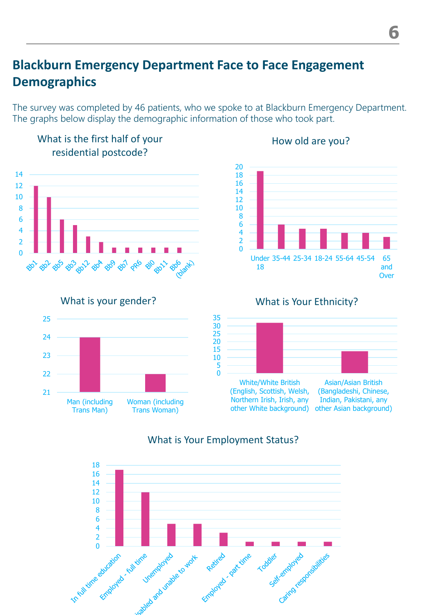## **Blackburn Emergency Department Face to Face Engagement Demographics**

The survey was completed by 46 patients, who we spoke to at Blackburn Emergency Department. The graphs below display the demographic information of those who took part.



How old are you?

#### What is Your Employment Status?

(English, Scottish, Welsh, Northern Irish, Irish, any

other White background) other Asian background)

(Bangladeshi, Chinese, Indian, Pakistani, any

Man (including Trans Man)

Woman (including Trans Woman)

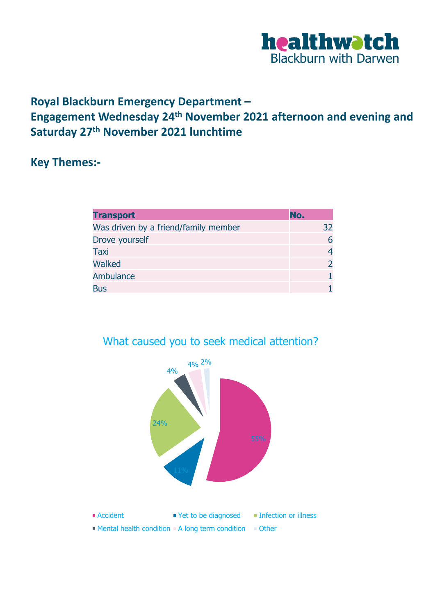

#### **Royal Blackburn Emergency Department – Engagement Wednesday 24th November 2021 afternoon and evening and Saturday 27th November 2021 lunchtime**

#### **Key Themes:-**

| <b>Transport</b>                     | No.           |
|--------------------------------------|---------------|
| Was driven by a friend/family member | 32            |
| Drove yourself                       | 6             |
| Taxi                                 | 4             |
| Walked                               | $\mathcal{P}$ |
| <b>Ambulance</b>                     |               |
| <b>Bus</b>                           |               |



#### What caused you to seek medical attention?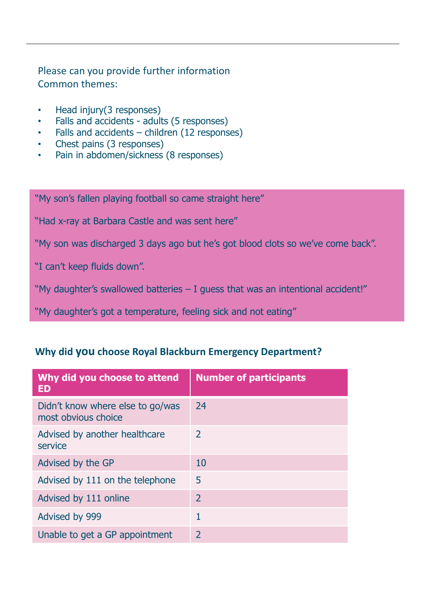#### Please can you provide further information Common themes:

- Head injury (3 responses)
- Falls and accidents adults (5 responses)
- Falls and accidents children (12 responses)
- Chest pains (3 responses)
- Pain in abdomen/sickness (8 responses)

"My son's fallen playing football so came straight here"

"Had x-ray at Barbara Castle and was sent here"

"My son was discharged 3 days ago but he's got blood clots so we've come back".

"I can't keep fluids down".

"My daughter's swallowed batteries – I guess that was an intentional accident!"

"My daughter's got a temperature, feeling sick and not eating"

#### **Why did you choose Royal Blackburn Emergency Department?**

| Why did you choose to attend<br><b>ED</b>               | <b>Number of participants</b> |
|---------------------------------------------------------|-------------------------------|
| Didn't know where else to go/was<br>most obvious choice | 24                            |
| Advised by another healthcare<br>service                | $\mathcal{L}$                 |
| Advised by the GP                                       | 10                            |
| Advised by 111 on the telephone                         | 5                             |
| Advised by 111 online                                   | $\mathcal{L}$                 |
| Advised by 999                                          |                               |
| Unable to get a GP appointment                          | $\mathcal{L}$                 |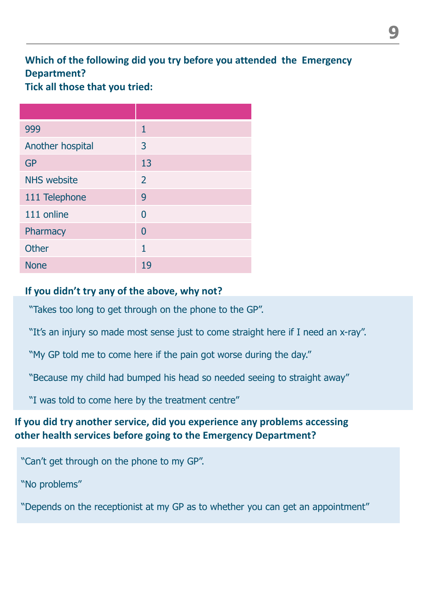#### **Which of the following did you try before you attended the Emergency Department?**

**Tick all those that you tried:**

| 999                | 1              |
|--------------------|----------------|
| Another hospital   | 3              |
| <b>GP</b>          | 13             |
| <b>NHS website</b> | $\overline{2}$ |
| 111 Telephone      | 9              |
| 111 online         | 0              |
| Pharmacy           | $\overline{0}$ |
| <b>Other</b>       | 1              |
| <b>None</b>        | 19             |

#### **If you didn't try any of the above, why not?**

"Takes too long to get through on the phone to the GP".

"It's an injury so made most sense just to come straight here if I need an x-ray".

"My GP told me to come here if the pain got worse during the day."

"Because my child had bumped his head so needed seeing to straight away"

"I was told to come here by the treatment centre"

#### **If you did try another service, did you experience any problems accessing other health services before going to the Emergency Department?**

"Can't get through on the phone to my GP".

"No problems"

"Depends on the receptionist at my GP as to whether you can get an appointment"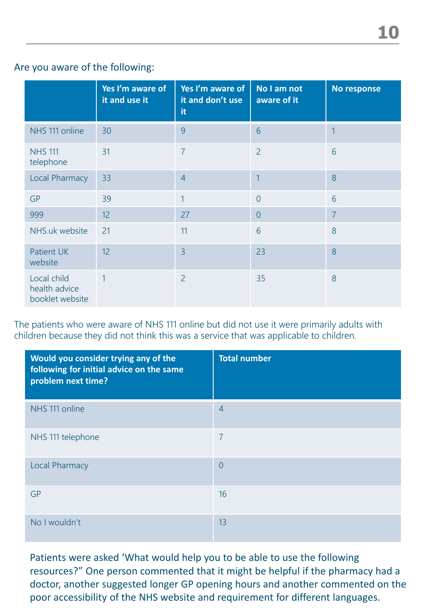#### Are you aware of the following:

|                                                 | Yes I'm aware of<br>it and use it | Yes I'm aware of<br>it and don't use<br>it | No I am not<br>aware of it | No response    |
|-------------------------------------------------|-----------------------------------|--------------------------------------------|----------------------------|----------------|
| NHS 111 online                                  | 30                                | 9                                          | 6                          | 1              |
| <b>NHS 111</b><br>telephone                     | 31                                | $\overline{7}$                             | $\overline{2}$             | 6              |
| Local Pharmacy                                  | 33                                | $\overline{4}$                             | 1                          | 8              |
| <b>GP</b>                                       | 39                                | 1                                          | $\overline{0}$             | 6              |
| 999                                             | 12                                | 27                                         | $\overline{0}$             | $\overline{7}$ |
| NHS.uk website                                  | 21                                | 11                                         | 6                          | 8              |
| <b>Patient UK</b><br>website                    | 12                                | $\overline{3}$                             | 23                         | 8              |
| Local child<br>health advice<br>booklet website | 1                                 | $\overline{2}$                             | 35                         | 8              |

The patients who were aware of NHS 111 online but did not use it were primarily adults with children because they did not think this was a service that was applicable to children.

| Would you consider trying any of the<br>following for initial advice on the same<br>problem next time? | <b>Total number</b> |
|--------------------------------------------------------------------------------------------------------|---------------------|
| NHS 111 online                                                                                         | $\overline{4}$      |
| NHS 111 telephone                                                                                      | $\overline{7}$      |
| <b>Local Pharmacy</b>                                                                                  | $\overline{0}$      |
| <b>GP</b>                                                                                              | 16                  |
| No I wouldn't                                                                                          | 13                  |

Patients were asked 'What would help you to be able to use the following resources?" One person commented that it might be helpful if the pharmacy had a doctor, another suggested longer GP opening hours and another commented on the poor accessibility of the NHS website and requirement for different languages.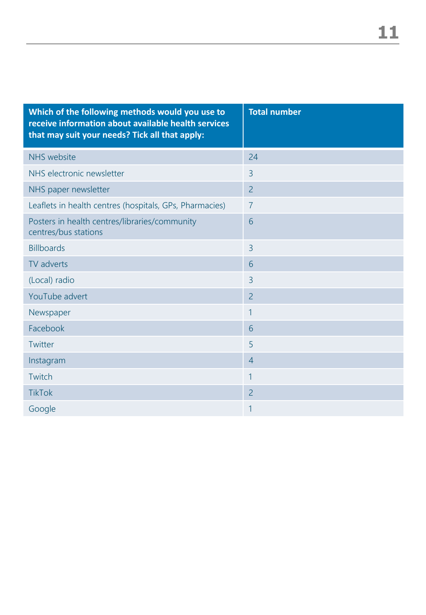| Which of the following methods would you use to<br>receive information about available health services<br>that may suit your needs? Tick all that apply: | <b>Total number</b> |
|----------------------------------------------------------------------------------------------------------------------------------------------------------|---------------------|
| <b>NHS</b> website                                                                                                                                       | 24                  |
| NHS electronic newsletter                                                                                                                                | 3                   |
| NHS paper newsletter                                                                                                                                     | $\overline{2}$      |
| Leaflets in health centres (hospitals, GPs, Pharmacies)                                                                                                  | $\overline{7}$      |
| Posters in health centres/libraries/community<br>centres/bus stations                                                                                    | 6                   |
| <b>Billboards</b>                                                                                                                                        | $\overline{3}$      |
| TV adverts                                                                                                                                               | 6                   |
| (Local) radio                                                                                                                                            | 3                   |
| YouTube advert                                                                                                                                           | $\overline{2}$      |
| Newspaper                                                                                                                                                | 1                   |
| Facebook                                                                                                                                                 | 6                   |
| Twitter                                                                                                                                                  | 5                   |
| Instagram                                                                                                                                                | $\overline{4}$      |
| Twitch                                                                                                                                                   | 1                   |
| <b>TikTok</b>                                                                                                                                            | $\overline{2}$      |
| Google                                                                                                                                                   | 1                   |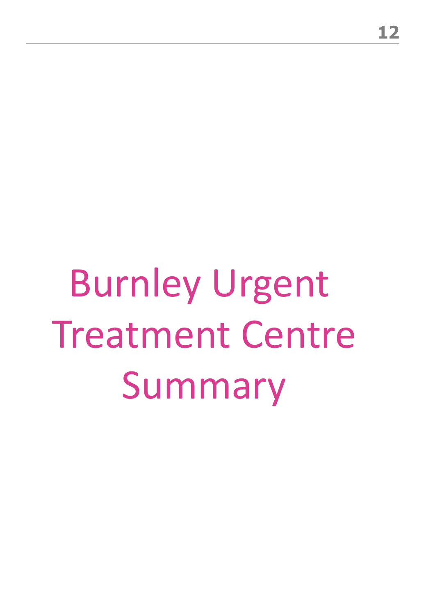# Burnley Urgent Treatment Centre Summary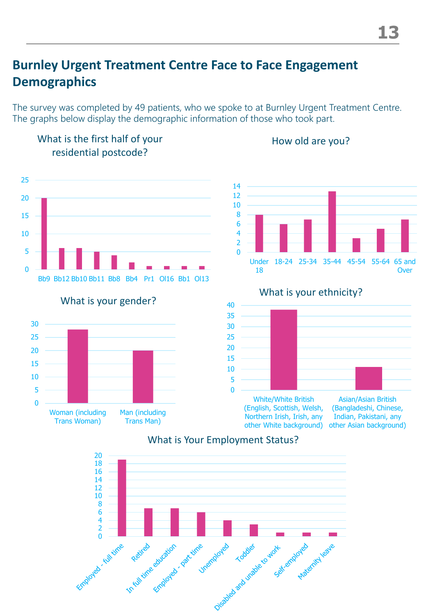## **Burnley Urgent Treatment Centre Face to Face Engagement Demographics**

What is the first half of your

Employed - Eulivine

To full time education , part time , unemploy

The survey was completed by 49 patients, who we spoke to at Burnley Urgent Treatment Centre. The graphs below display the demographic information of those who took part.



How old are you?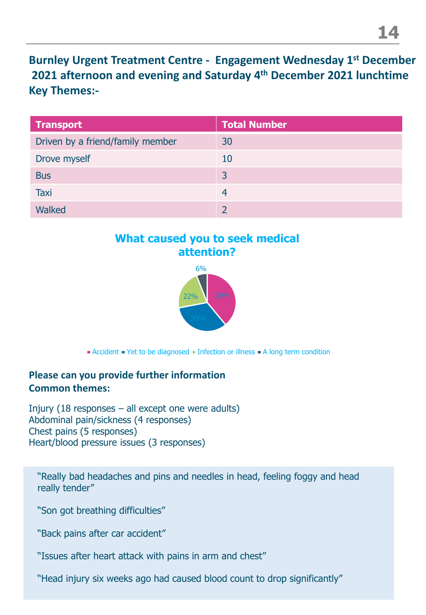**Burnley Urgent Treatment Centre - Engagement Wednesday 1st December 2021 afternoon and evening and Saturday 4th December 2021 lunchtime Key Themes:-**

| <b>Transport</b>                 | <b>Total Number</b> |
|----------------------------------|---------------------|
| Driven by a friend/family member | 30                  |
| Drove myself                     | 10                  |
| <b>Bus</b>                       | $\overline{3}$      |
| Taxi                             | 4                   |
| <b>Walked</b>                    |                     |

#### **What caused you to seek medical attention?**



Accident • Yet to be diagnosed • Infection or illness • A long term condition

#### **Please can you provide further information Common themes:**

Injury (18 responses – all except one were adults) Abdominal pain/sickness (4 responses) Chest pains (5 responses) Heart/blood pressure issues (3 responses)

"Really bad headaches and pins and needles in head, feeling foggy and head really tender"

"Son got breathing difficulties"

"Back pains after car accident"

"Issues after heart attack with pains in arm and chest"

"Head injury six weeks ago had caused blood count to drop significantly"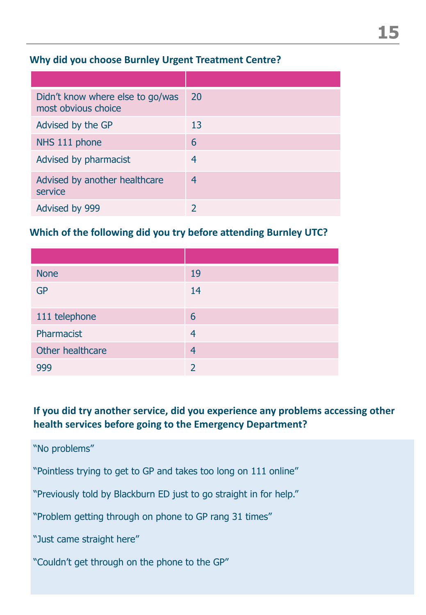#### **Why did you choose Burnley Urgent Treatment Centre?**

| Didn't know where else to go/was<br>most obvious choice | 20 |
|---------------------------------------------------------|----|
| Advised by the GP                                       | 13 |
| NHS 111 phone                                           | 6  |
| Advised by pharmacist                                   | 4  |
| Advised by another healthcare<br>service                | 4  |
| Advised by 999                                          |    |

#### **Which of the following did you try before attending Burnley UTC?**

| <b>None</b>      | 19             |
|------------------|----------------|
| <b>GP</b>        | 14             |
| 111 telephone    | 6              |
| Pharmacist       | 4              |
| Other healthcare | $\overline{4}$ |
| 999              |                |

#### **If you did try another service, did you experience any problems accessing other health services before going to the Emergency Department?**

"No problems"

"Pointless trying to get to GP and takes too long on 111 online"

"Previously told by Blackburn ED just to go straight in for help."

"Problem getting through on phone to GP rang 31 times"

"Just came straight here"

"Couldn't get through on the phone to the GP"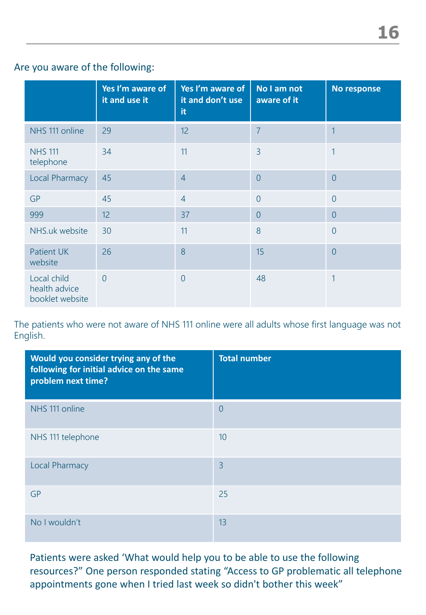#### Are you aware of the following:

|                                                 | Yes I'm aware of<br>it and use it | Yes I'm aware of<br>it and don't use<br>it | No I am not<br>aware of it | No response    |
|-------------------------------------------------|-----------------------------------|--------------------------------------------|----------------------------|----------------|
| NHS 111 online                                  | 29                                | 12                                         | $\overline{7}$             | $\overline{1}$ |
| <b>NHS 111</b><br>telephone                     | 34                                | 11                                         | 3                          | 1              |
| <b>Local Pharmacy</b>                           | 45                                | $\overline{4}$                             | $\overline{0}$             | $\overline{0}$ |
| <b>GP</b>                                       | 45                                | $\overline{4}$                             | $\overline{0}$             | $\overline{0}$ |
| 999                                             | 12                                | 37                                         | $\overline{0}$             | $\overline{0}$ |
| NHS.uk website                                  | 30                                | 11                                         | 8                          | $\overline{0}$ |
| <b>Patient UK</b><br>website                    | 26                                | 8                                          | 15                         | $\overline{0}$ |
| Local child<br>health advice<br>booklet website | $\overline{0}$                    | $\overline{0}$                             | 48                         | 1              |

The patients who were not aware of NHS 111 online were all adults whose first language was not English.

| Would you consider trying any of the<br>following for initial advice on the same<br>problem next time? | <b>Total number</b> |
|--------------------------------------------------------------------------------------------------------|---------------------|
| NHS 111 online                                                                                         | $\overline{0}$      |
| NHS 111 telephone                                                                                      | 10                  |
| <b>Local Pharmacy</b>                                                                                  | $\overline{3}$      |
| <b>GP</b>                                                                                              | 25                  |
| No I wouldn't                                                                                          | 13                  |

Patients were asked 'What would help you to be able to use the following resources?" One person responded stating "Access to GP problematic all telephone appointments gone when I tried last week so didn't bother this week"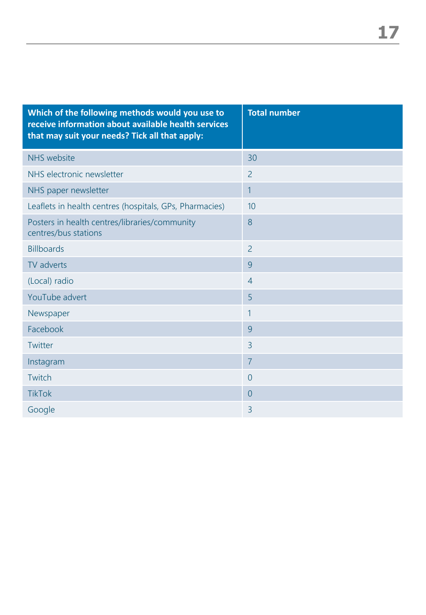| Which of the following methods would you use to<br>receive information about available health services<br>that may suit your needs? Tick all that apply: | <b>Total number</b> |
|----------------------------------------------------------------------------------------------------------------------------------------------------------|---------------------|
| <b>NHS</b> website                                                                                                                                       | 30                  |
| NHS electronic newsletter                                                                                                                                | $\overline{2}$      |
| NHS paper newsletter                                                                                                                                     | $\mathbf{1}$        |
| Leaflets in health centres (hospitals, GPs, Pharmacies)                                                                                                  | 10                  |
| Posters in health centres/libraries/community<br>centres/bus stations                                                                                    | 8                   |
| <b>Billboards</b>                                                                                                                                        | $\overline{2}$      |
| TV adverts                                                                                                                                               | 9                   |
| (Local) radio                                                                                                                                            | $\overline{4}$      |
| YouTube advert                                                                                                                                           | 5                   |
| Newspaper                                                                                                                                                | $\mathbf{1}$        |
| Facebook                                                                                                                                                 | 9                   |
| Twitter                                                                                                                                                  | $\overline{3}$      |
| Instagram                                                                                                                                                | $\overline{7}$      |
| Twitch                                                                                                                                                   | $\overline{0}$      |
| <b>TikTok</b>                                                                                                                                            | $\overline{0}$      |
| Google                                                                                                                                                   | 3                   |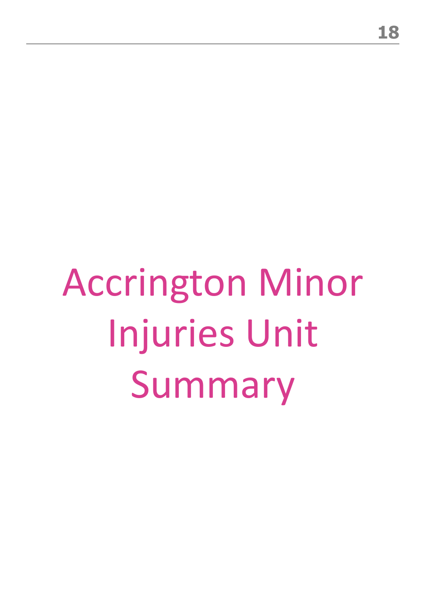# Accrington Minor Injuries Unit Summary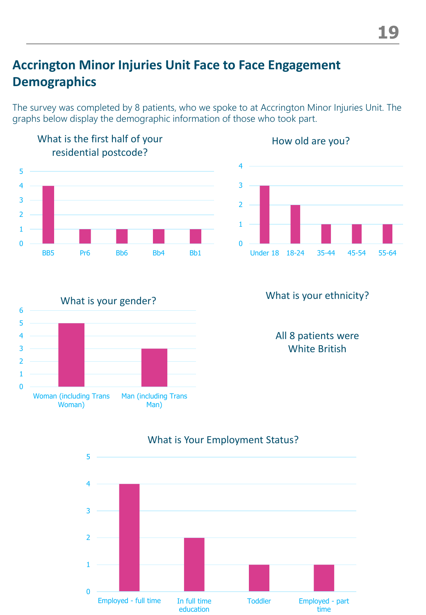## **Accrington Minor Injuries Unit Face to Face Engagement Demographics**

The survey was completed by 8 patients, who we spoke to at Accrington Minor Injuries Unit. The graphs below display the demographic information of those who took part.





#### What is your gender?  $\overline{0}$ 1 2 3 4 5 6 Woman (including Trans Woman) Man (including Trans Man)

#### What is your ethnicity?

All 8 patients were White British



#### What is Your Employment Status?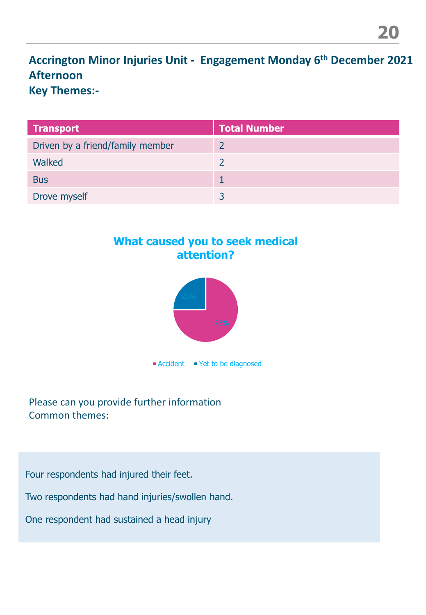**Accrington Minor Injuries Unit - Engagement Monday 6th December 2021 Afternoon Key Themes:-**

| <b>Transport</b>                 | <b>Total Number</b> |
|----------------------------------|---------------------|
| Driven by a friend/family member |                     |
| Walked                           |                     |
| <b>Bus</b>                       |                     |
| Drove myself                     |                     |

#### **What caused you to seek medical attention?**



Please can you provide further information Common themes:

Four respondents had injured their feet.

Two respondents had hand injuries/swollen hand.

One respondent had sustained a head injury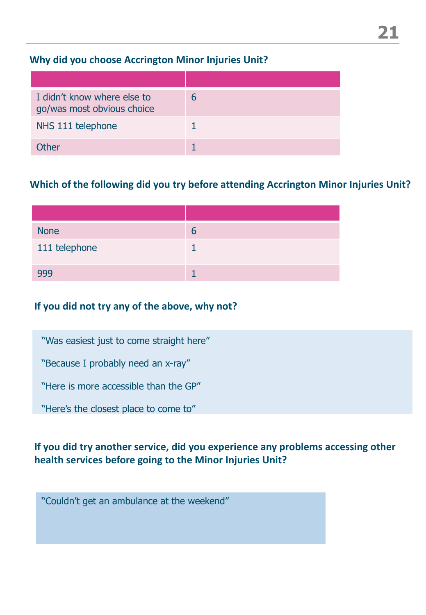#### **Why did you choose Accrington Minor Injuries Unit?**

| I didn't know where else to<br>go/was most obvious choice | h |
|-----------------------------------------------------------|---|
| NHS 111 telephone                                         |   |
| Other                                                     |   |

#### **Which of the following did you try before attending Accrington Minor Injuries Unit?**

| <b>None</b>   | h |
|---------------|---|
| 111 telephone |   |
|               |   |

#### **If you did not try any of the above, why not?**

"Was easiest just to come straight here"

"Because I probably need an x-ray"

"Here is more accessible than the GP"

"Here's the closest place to come to"

#### **If you did try another service, did you experience any problems accessing other health services before going to the Minor Injuries Unit?**

"Couldn't get an ambulance at the weekend"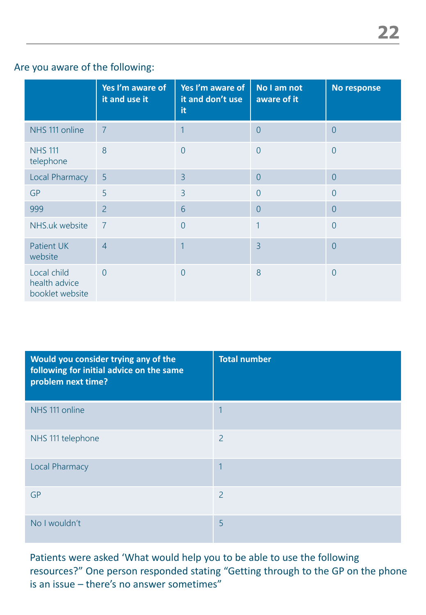#### Are you aware of the following:

|                                                 | Yes I'm aware of<br>it and use it | Yes I'm aware of<br>it and don't use<br>it | No I am not<br>aware of it | No response    |
|-------------------------------------------------|-----------------------------------|--------------------------------------------|----------------------------|----------------|
| NHS 111 online                                  | $\overline{7}$                    | 1                                          | $\overline{0}$             | $\overline{0}$ |
| <b>NHS 111</b><br>telephone                     | 8                                 | $\overline{0}$                             | $\overline{0}$             | $\overline{0}$ |
| Local Pharmacy                                  | 5                                 | $\overline{3}$                             | $\overline{0}$             | $\overline{0}$ |
| <b>GP</b>                                       | 5                                 | $\overline{3}$                             | $\overline{0}$             | $\overline{0}$ |
| 999                                             | $\overline{2}$                    | 6                                          | $\overline{0}$             | $\overline{0}$ |
| NHS.uk website                                  | $\overline{7}$                    | $\overline{0}$                             | 1                          | $\overline{0}$ |
| <b>Patient UK</b><br>website                    | $\overline{4}$                    | 1                                          | $\overline{3}$             | $\overline{0}$ |
| Local child<br>health advice<br>booklet website | $\overline{0}$                    | $\overline{0}$                             | 8                          | $\overline{0}$ |

| Would you consider trying any of the<br>following for initial advice on the same<br>problem next time? | <b>Total number</b> |
|--------------------------------------------------------------------------------------------------------|---------------------|
| NHS 111 online                                                                                         | 1                   |
| NHS 111 telephone                                                                                      | $\overline{2}$      |
| <b>Local Pharmacy</b>                                                                                  | 1                   |
| <b>GP</b>                                                                                              | $\overline{2}$      |
| No I wouldn't                                                                                          | 5                   |

Patients were asked 'What would help you to be able to use the following resources?" One person responded stating "Getting through to the GP on the phone is an issue – there's no answer sometimes"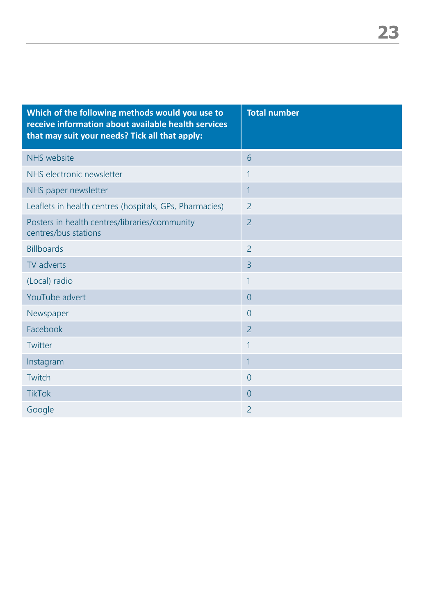| Which of the following methods would you use to<br>receive information about available health services<br>that may suit your needs? Tick all that apply: | <b>Total number</b> |
|----------------------------------------------------------------------------------------------------------------------------------------------------------|---------------------|
| <b>NHS</b> website                                                                                                                                       | 6                   |
| NHS electronic newsletter                                                                                                                                | 1                   |
| NHS paper newsletter                                                                                                                                     | 1                   |
| Leaflets in health centres (hospitals, GPs, Pharmacies)                                                                                                  | $\overline{2}$      |
| Posters in health centres/libraries/community<br>centres/bus stations                                                                                    | $\overline{2}$      |
| <b>Billboards</b>                                                                                                                                        | $\overline{2}$      |
| TV adverts                                                                                                                                               | $\overline{3}$      |
| (Local) radio                                                                                                                                            | 1                   |
| YouTube advert                                                                                                                                           | $\overline{0}$      |
| Newspaper                                                                                                                                                | $\overline{0}$      |
| Facebook                                                                                                                                                 | $\overline{2}$      |
| Twitter                                                                                                                                                  | 1                   |
| Instagram                                                                                                                                                | $\mathbf{1}$        |
| Twitch                                                                                                                                                   | $\overline{0}$      |
| <b>TikTok</b>                                                                                                                                            | $\overline{0}$      |
| Google                                                                                                                                                   | 2                   |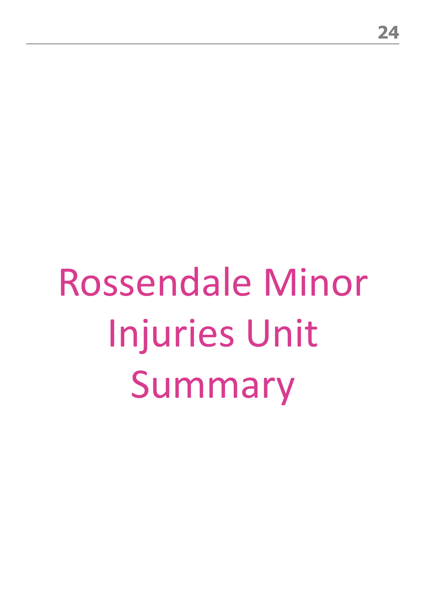# Rossendale Minor Injuries Unit Summary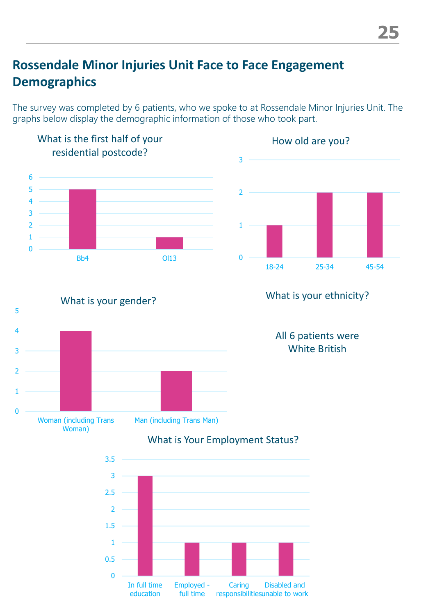## **Rossendale Minor Injuries Unit Face to Face Engagement Demographics**

The survey was completed by 6 patients, who we spoke to at Rossendale Minor Injuries Unit. The graphs below display the demographic information of those who took part.







#### What is your ethnicity?

All 6 patients were White British



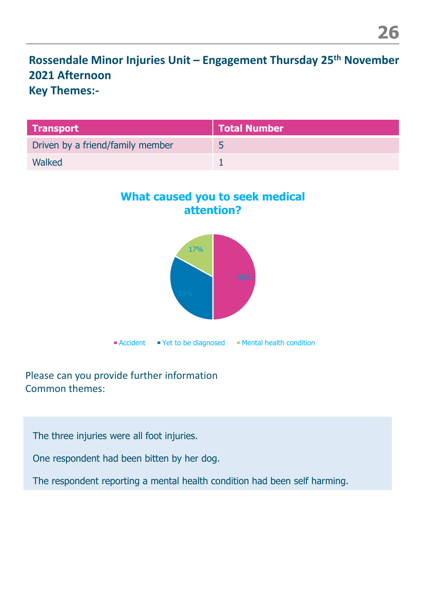**Rossendale Minor Injuries Unit – Engagement Thursday 25th November 2021 Afternoon Key Themes:-**

| <b>Transport</b>                 | Total Number |
|----------------------------------|--------------|
| Driven by a friend/family member |              |
| Walked                           |              |

#### **What caused you to seek medical attention?**



#### Please can you provide further information Common themes:

The three injuries were all foot injuries.

One respondent had been bitten by her dog.

The respondent reporting a mental health condition had been self harming.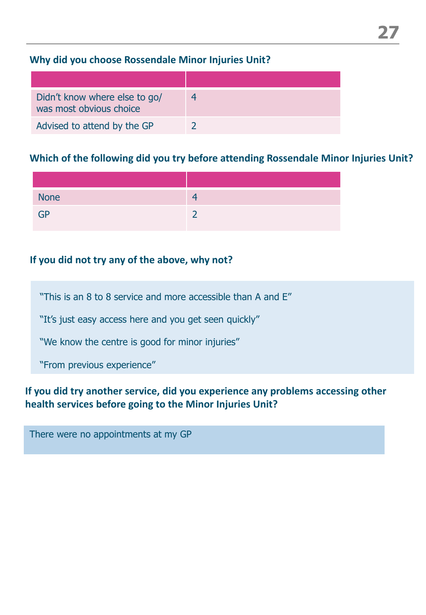#### **Why did you choose Rossendale Minor Injuries Unit?**

| Didn't know where else to go/<br>was most obvious choice |  |
|----------------------------------------------------------|--|
| Advised to attend by the GP                              |  |

#### **Which of the following did you try before attending Rossendale Minor Injuries Unit?**

| <b>None</b> |   |
|-------------|---|
| <b>GP</b>   | ∽ |

#### **If you did not try any of the above, why not?**

"This is an 8 to 8 service and more accessible than A and E"

"It's just easy access here and you get seen quickly"

"We know the centre is good for minor injuries"

"From previous experience"

#### **If you did try another service, did you experience any problems accessing other health services before going to the Minor Injuries Unit?**

There were no appointments at my GP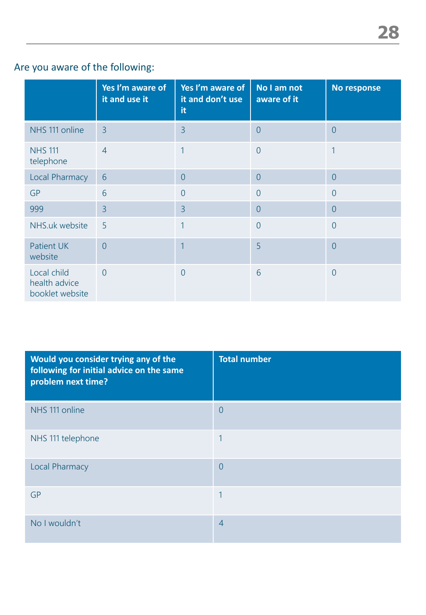### Are you aware of the following:

|                                                 | Yes I'm aware of<br>it and use it | Yes I'm aware of<br>it and don't use<br>it | No I am not<br>aware of it | No response    |
|-------------------------------------------------|-----------------------------------|--------------------------------------------|----------------------------|----------------|
| NHS 111 online                                  | $\overline{3}$                    | $\overline{3}$                             | $\overline{0}$             | $\overline{0}$ |
| <b>NHS 111</b><br>telephone                     | $\overline{4}$                    | 1                                          | $\overline{0}$             | 1              |
| Local Pharmacy                                  | 6                                 | $\overline{0}$                             | $\overline{0}$             | $\overline{0}$ |
| <b>GP</b>                                       | 6                                 | $\overline{0}$                             | $\overline{0}$             | $\overline{0}$ |
| 999                                             | $\overline{3}$                    | $\overline{3}$                             | $\overline{0}$             | $\overline{0}$ |
| NHS.uk website                                  | 5                                 | 1                                          | $\overline{0}$             | $\overline{0}$ |
| <b>Patient UK</b><br>website                    | $\overline{0}$                    | $\overline{1}$                             | 5                          | $\overline{0}$ |
| Local child<br>health advice<br>booklet website | $\overline{0}$                    | $\overline{0}$                             | 6                          | $\overline{0}$ |

| Would you consider trying any of the<br>following for initial advice on the same<br>problem next time? | <b>Total number</b> |
|--------------------------------------------------------------------------------------------------------|---------------------|
| NHS 111 online                                                                                         | $\overline{0}$      |
| NHS 111 telephone                                                                                      | $\overline{1}$      |
| <b>Local Pharmacy</b>                                                                                  | $\overline{0}$      |
| <b>GP</b>                                                                                              | 1                   |
| No I wouldn't                                                                                          | $\overline{4}$      |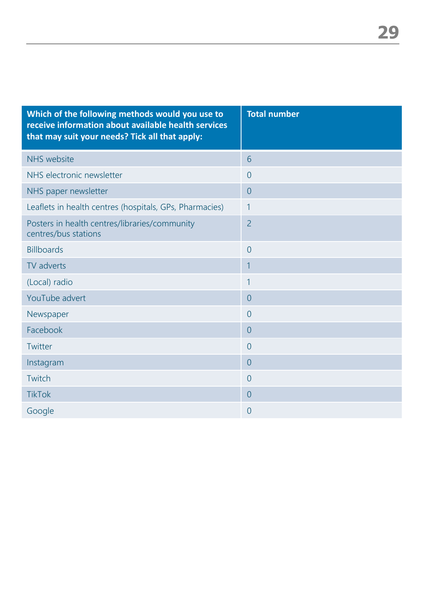| Which of the following methods would you use to<br>receive information about available health services<br>that may suit your needs? Tick all that apply: | <b>Total number</b> |
|----------------------------------------------------------------------------------------------------------------------------------------------------------|---------------------|
| <b>NHS</b> website                                                                                                                                       | 6                   |
| NHS electronic newsletter                                                                                                                                | $\overline{0}$      |
| NHS paper newsletter                                                                                                                                     | $\overline{0}$      |
| Leaflets in health centres (hospitals, GPs, Pharmacies)                                                                                                  | $\mathbf{1}$        |
| Posters in health centres/libraries/community<br>centres/bus stations                                                                                    | $\overline{2}$      |
| <b>Billboards</b>                                                                                                                                        | $\overline{0}$      |
| TV adverts                                                                                                                                               | $\mathbf{1}$        |
| (Local) radio                                                                                                                                            | 1                   |
| YouTube advert                                                                                                                                           | $\overline{0}$      |
| Newspaper                                                                                                                                                | $\overline{0}$      |
| Facebook                                                                                                                                                 | $\overline{0}$      |
| Twitter                                                                                                                                                  | $\overline{0}$      |
| Instagram                                                                                                                                                | $\overline{0}$      |
| Twitch                                                                                                                                                   | $\overline{0}$      |
| <b>TikTok</b>                                                                                                                                            | $\overline{0}$      |
| Google                                                                                                                                                   | $\theta$            |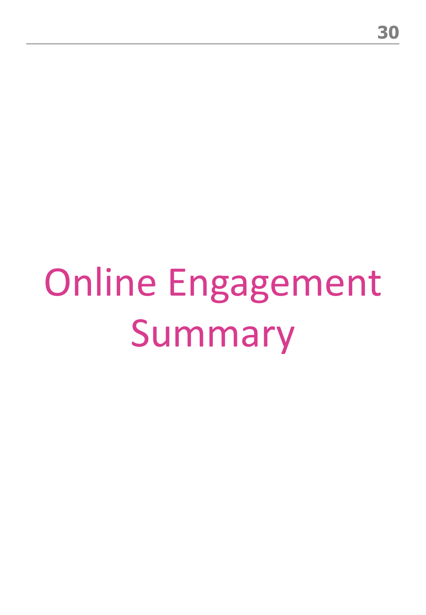## Online Engagement Summary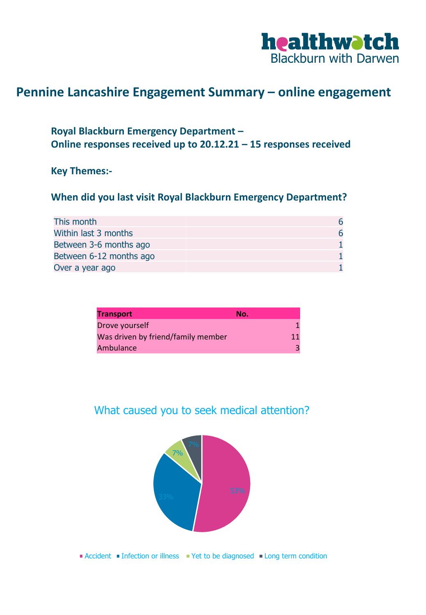

#### **Pennine Lancashire Engagement Summary – online engagement**

#### **Royal Blackburn Emergency Department – Online responses received up to 20.12.21 – 15 responses received**

#### **Key Themes:-**

#### **When did you last visit Royal Blackburn Emergency Department?**

| This month              | 6 |
|-------------------------|---|
| Within last 3 months    | 6 |
| Between 3-6 months ago  |   |
| Between 6-12 months ago |   |
| Over a year ago         |   |

| <b>Transport</b>                   | No. |    |
|------------------------------------|-----|----|
| Drove yourself                     |     |    |
| Was driven by friend/family member |     | 11 |
| Ambulance                          |     | 3  |

#### What caused you to seek medical attention?



**Accident Infection or illness** Yet to be diagnosed Iong term condition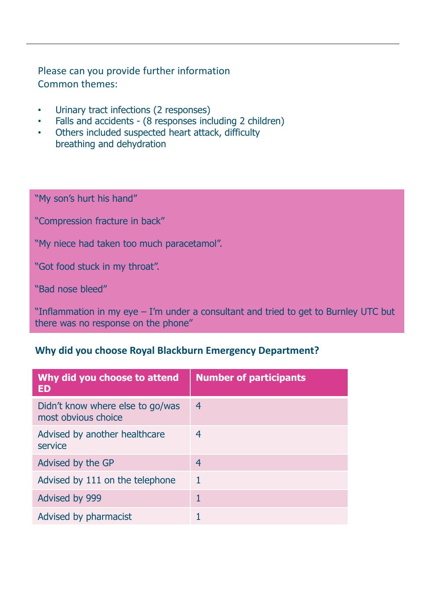#### Please can you provide further information Common themes:

- Urinary tract infections (2 responses)
- Falls and accidents (8 responses including 2 children)
- Others included suspected heart attack, difficulty breathing and dehydration

"My son's hurt his hand"

"Compression fracture in back"

"My niece had taken too much paracetamol".

"Got food stuck in my throat".

"Bad nose bleed"

"Inflammation in my eye – I'm under a consultant and tried to get to Burnley UTC but there was no response on the phone"

#### **Why did you choose Royal Blackburn Emergency Department?**

| Why did you choose to attend<br><b>ED</b>               | <b>Number of participants</b> |
|---------------------------------------------------------|-------------------------------|
| Didn't know where else to go/was<br>most obvious choice | 4                             |
| Advised by another healthcare<br>service                | 4                             |
| Advised by the GP                                       | 4                             |
| Advised by 111 on the telephone                         | 1                             |
| Advised by 999                                          |                               |
| Advised by pharmacist                                   |                               |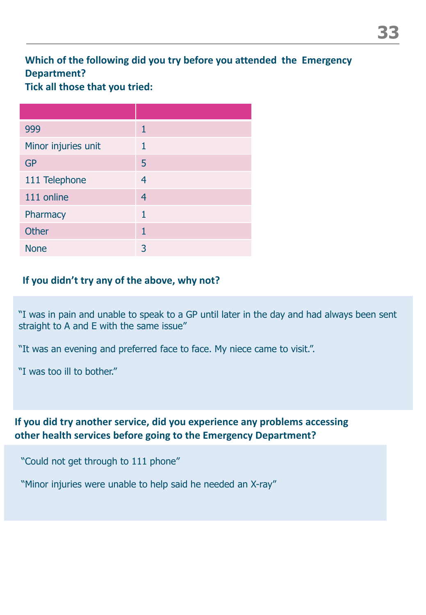#### **Which of the following did you try before you attended the Emergency Department?**

**Tick all those that you tried:**

| 999                 | 1              |
|---------------------|----------------|
| Minor injuries unit | 1              |
| <b>GP</b>           | 5              |
| 111 Telephone       | $\overline{4}$ |
| 111 online          | $\overline{4}$ |
| Pharmacy            | 1              |
| <b>Other</b>        | $\mathbf{1}$   |
| <b>None</b>         | 3              |

#### **If you didn't try any of the above, why not?**

"I was in pain and unable to speak to a GP until later in the day and had always been sent straight to A and E with the same issue"

"It was an evening and preferred face to face. My niece came to visit.".

"I was too ill to bother."

#### **If you did try another service, did you experience any problems accessing other health services before going to the Emergency Department?**

"Could not get through to 111 phone"

"Minor injuries were unable to help said he needed an X-ray"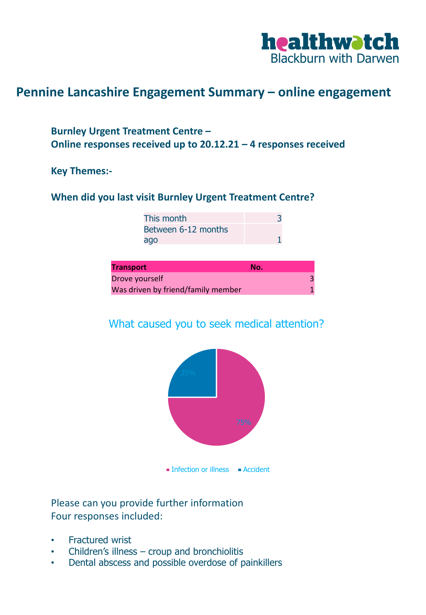

#### **Pennine Lancashire Engagement Summary – online engagement**

#### **Burnley Urgent Treatment Centre – Online responses received up to 20.12.21 – 4 responses received**

#### **Key Themes:-**

#### **When did you last visit Burnley Urgent Treatment Centre?**

This month 3 Between 6-12 months ago and 1

| <b>Transport</b>                   | No. |
|------------------------------------|-----|
| Drove yourself                     |     |
| Was driven by friend/family member |     |

#### What caused you to seek medical attention?



Please can you provide further information Four responses included:

- Fractured wrist
- Children's illness croup and bronchiolitis
- Dental abscess and possible overdose of painkillers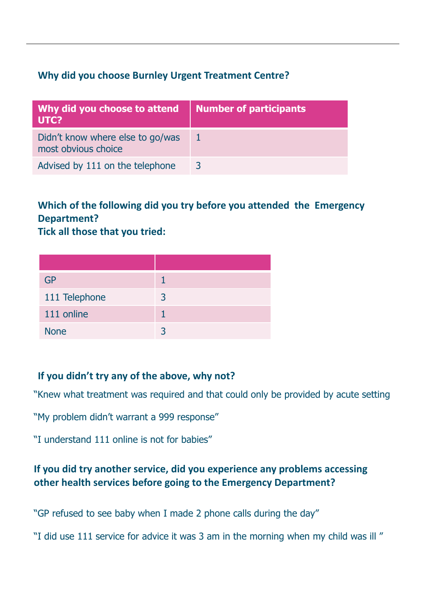#### **Why did you choose Burnley Urgent Treatment Centre?**

| Why did you choose to attend<br>UTC?                    | <b>Number of participants</b> |
|---------------------------------------------------------|-------------------------------|
| Didn't know where else to go/was<br>most obvious choice |                               |
| Advised by 111 on the telephone                         | 3                             |

#### **Which of the following did you try before you attended the Emergency Department?**

**Tick all those that you tried:**

| GP            |   |
|---------------|---|
| 111 Telephone | 3 |
| 111 online    |   |
| <b>None</b>   | ₹ |

#### **If you didn't try any of the above, why not?**

"Knew what treatment was required and that could only be provided by acute setting

"My problem didn't warrant a 999 response"

"I understand 111 online is not for babies"

#### **If you did try another service, did you experience any problems accessing other health services before going to the Emergency Department?**

"GP refused to see baby when I made 2 phone calls during the day"

"I did use 111 service for advice it was 3 am in the morning when my child was ill "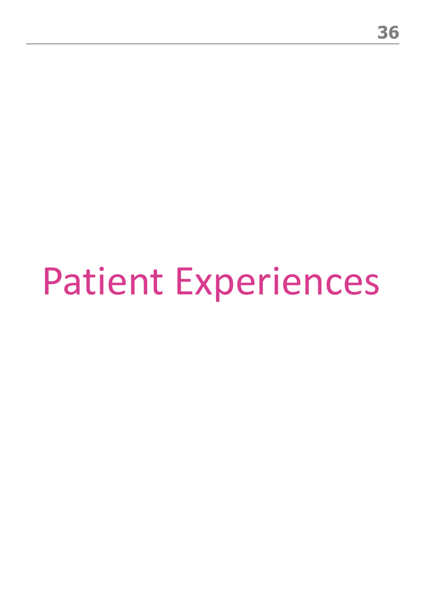## Patient Experiences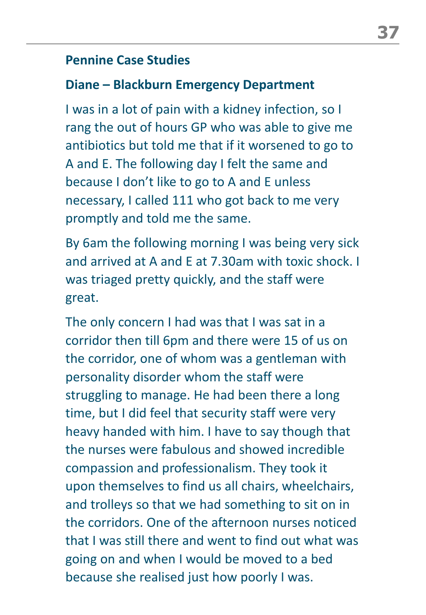#### **Pennine Case Studies**

### **Diane – Blackburn Emergency Department**

I was in a lot of pain with a kidney infection, so I rang the out of hours GP who was able to give me antibiotics but told me that if it worsened to go to A and E. The following day I felt the same and because I don't like to go to A and E unless necessary, I called 111 who got back to me very promptly and told me the same.

By 6am the following morning I was being very sick and arrived at A and E at 7.30am with toxic shock. I was triaged pretty quickly, and the staff were great.

The only concern I had was that I was sat in a corridor then till 6pm and there were 15 of us on the corridor, one of whom was a gentleman with personality disorder whom the staff were struggling to manage. He had been there a long time, but I did feel that security staff were very heavy handed with him. I have to say though that the nurses were fabulous and showed incredible compassion and professionalism. They took it upon themselves to find us all chairs, wheelchairs, and trolleys so that we had something to sit on in the corridors. One of the afternoon nurses noticed that I was still there and went to find out what was going on and when I would be moved to a bed because she realised just how poorly I was.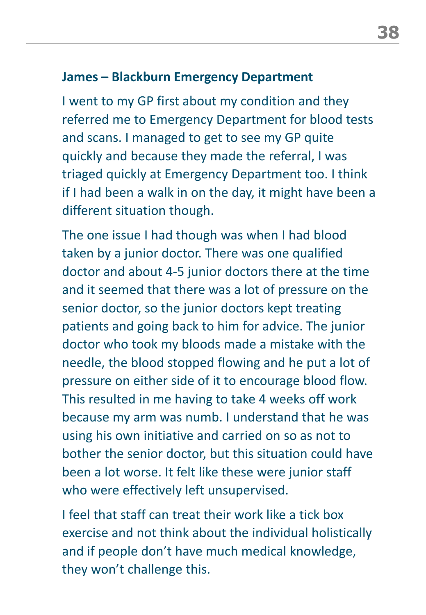### **James – Blackburn Emergency Department**

I went to my GP first about my condition and they referred me to Emergency Department for blood tests and scans. I managed to get to see my GP quite quickly and because they made the referral, I was triaged quickly at Emergency Department too. I think if I had been a walk in on the day, it might have been a different situation though.

The one issue I had though was when I had blood taken by a junior doctor. There was one qualified doctor and about 4-5 junior doctors there at the time and it seemed that there was a lot of pressure on the senior doctor, so the junior doctors kept treating patients and going back to him for advice. The junior doctor who took my bloods made a mistake with the needle, the blood stopped flowing and he put a lot of pressure on either side of it to encourage blood flow. This resulted in me having to take 4 weeks off work because my arm was numb. I understand that he was using his own initiative and carried on so as not to bother the senior doctor, but this situation could have been a lot worse. It felt like these were junior staff who were effectively left unsupervised.

I feel that staff can treat their work like a tick box exercise and not think about the individual holistically and if people don't have much medical knowledge, they won't challenge this.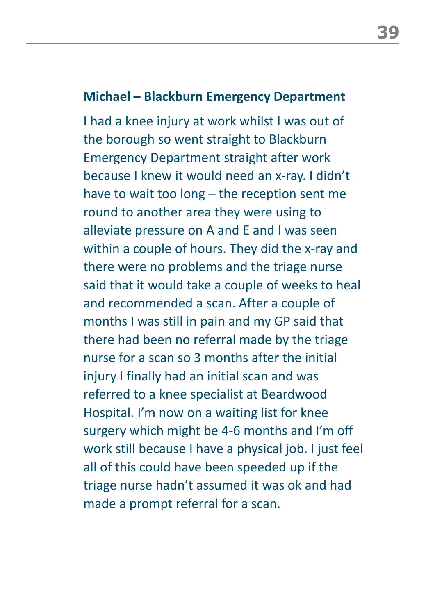#### **Michael – Blackburn Emergency Department**

I had a knee injury at work whilst I was out of the borough so went straight to Blackburn Emergency Department straight after work because I knew it would need an x-ray. I didn't have to wait too long – the reception sent me round to another area they were using to alleviate pressure on A and E and I was seen within a couple of hours. They did the x-ray and there were no problems and the triage nurse said that it would take a couple of weeks to heal and recommended a scan. After a couple of months I was still in pain and my GP said that there had been no referral made by the triage nurse for a scan so 3 months after the initial injury I finally had an initial scan and was referred to a knee specialist at Beardwood Hospital. I'm now on a waiting list for knee surgery which might be 4-6 months and I'm off work still because I have a physical job. I just feel all of this could have been speeded up if the triage nurse hadn't assumed it was ok and had made a prompt referral for a scan.